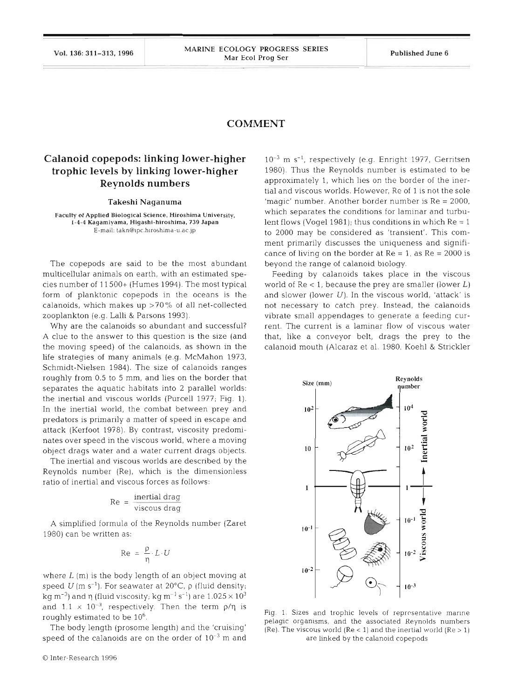## **COMMENT**

## **Calanoid copepods: linking lower-higher trophic levels by linking lower-higher Reynolds numbers**

## Takeshi Naganuma

**Faculty of Applied Biological Science, Hiroshima Universily. 1-4-4 Kagamiyama, Higashi-hiroshima, 739 Japan**  E-mall **takn@~pc.h~roshlma-~1.ac.jp** 

The copepods are said to be the most abundant multicellular animals on earth, with an estimated species number of 11 500+ (Humes 1994). The most typical form of planktonic copepods in the oceans is the calanoids, which makes up  $>70\%$  of all net-collected zooplankton (e.g. Lalli & Parsons 1993).

Why are the calanoids so abundant and successful? A clue to the answer to this question is the size (and the moving speed) of the calanoids, as shown in the life strategies of many animals (e.g. McMahon 1973, Schmidt-Nielsen 1984). The size of calanoids ranges roughly from 0.5 to 5 mm, and lies on the border that separates the aquatic habitats into 2 parallel worlds: the inertial and viscous worlds (Purcell 1977; Fig. 1). In the inertial world, the combat between prey and predators is primarily a matter of speed in escape and attack (Kerfoot 1978). By contrast, viscosity predominates over speed in the viscous world, where a moving object drags water and a water current drags objects.

The inertial and viscous worlds are described by the Reynolds number (Re), which is the dimensionless ratio of inertial and viscous forces as follows:

$$
Re = \frac{\text{inential drag}}{\text{viscous drag}}
$$

A simplified formula of the Reynolds number (Zaret 1980) can be written as:

$$
Re = \frac{p}{\eta} \cdot L \cdot U
$$

where  $L(m)$  is the body length of an object moving at speed  $U$  (m s<sup>-1</sup>). For seawater at 20°C,  $\rho$  (fluid density; kg m $^{-3}$ ) and n (fluid viscosity; kg m $^{-1}$  s $^{-1}$ ) are 1.025  $\times$   $10^3$ and 1.1  $\times$  10<sup> $\pm$ </sup>, respectively. Then the term  $p/\eta$  is roughly estimated to be  $10^6$ .

The body length (prosome length) and the 'cruising' speed of the calanoids are on the order of  $10^{-3}$  m and

 $10^{-3}$  m s<sup>-1</sup>, respectively (e.g. Enright 1977, Gerritsen 1980). Thus the Reynolds number is estimated to be approximately 1, which lies on the border of the inertial and viscous worlds. However, Re of 1 is not the sole 'magic' number. Another border number is  $Re = 2000$ , which separates the conditions for laminar and turbulent flows (Vogel 1981); thus conditions in which  $Re = 1$ to 2000 may be considered as 'transient'. This comment primarily discusses the uniqueness and significance of living on the border at  $Re = 1$ , as  $Re = 2000$  is beyond the range of calanoid biology.

Feeding by calanoids takes place in the viscous world of  $Re < 1$ , because the prey are smaller (lower  $L$ ) and slower (lower  $U$ ). In the viscous world, 'attack' is not necessary to catch prey. Instead, the calanoids vibrate small appendages to generate a feeding current. The current is a laminar flow of viscous water that, like a conveyor belt, drags the prey to the calanoid mouth (Alcaraz et al. 1980, Koehl & Strickler



Fig. 1. Sizes and trophic levels of representative marine pelagic organisms, and the associated Reynolds numbers  $(Re)$ . The viscous world  $(Re < 1)$  and the inertial world  $(Re > 1)$ are linked by the calanoid copepods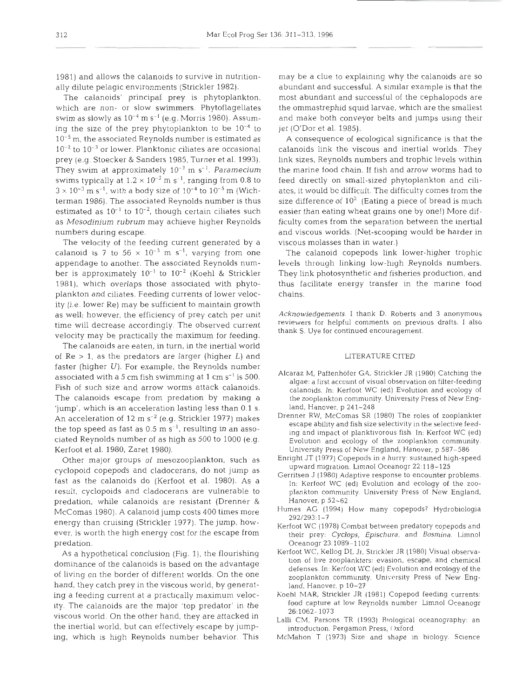1981) and allows the calanoids to survive in nutritionally dilute pelagic environments (Strickler 1982).

The calanoids' principal prey is phytoplankton, which are non- or slow swimmers. Phytoflagellates swim as slowly as  $10^{-4}$  m s<sup>-1</sup> (e.g. Morris 1980). Assuming the size of the prey phytoplankton to be  $10^{-4}$  to  $10^{-5}$  m, the associated Reynolds number is estimated as  $10^{-2}$  to  $10^{-3}$  or lower. Planktonic ciliates are occasional prey (e.g. Stoecker & Sanders 1985, Turner et al. 1993). They swim at approximately  $10^{-3}$  m s<sup>-1</sup>. Paramecium swims typically at  $1.2 \times 10^{-3}$  m s<sup>-1</sup>, ranging from 0.8 to  $3 \times 10^{-3}$  m s<sup>-1</sup>, with a body size of  $10^{-4}$  to  $10^{-5}$  m (Wichterman 1986). The associated Reynolds number is thus estimated as  $10^{-1}$  to  $10^{-2}$ , though certain ciliates such as *Mesodinium rubrum* may achieve higher Reynolds numbers during escape.

The velocity of the feeding current generated by a calanoid is 7 to  $56 \times 10^{-3}$  m s<sup>-1</sup>, varying from one appendage to another. The associated Reynolds number is approximately  $10^{-1}$  to  $10^{-2}$  (Koehl & Strickler 1981), which overlaps those associated with phytoplankton and ciliates. Feeding currents of lower velocity (i.e. lower Re) may be sufficient to maintain growth as well; however, the efficiency of prey catch per unit time will decrease accordingly. The observed current velocity may be practically the maximum for feeding.

The calanoids are eaten, in turn, in the inertial world of  $Re > 1$ , as the predators are larger (higher  $L$ ) and faster (higher  $U$ ). For example, the Reynolds number associated with a 5 cm fish swimming at 1 cm  $s^{-1}$  is 500. Fish of such size and arrow worms attack calanoids. The calanoids escape from predation by making a 'jump', which is an acceleration lasting less than 0.1 S. An acceleration of 12 m  $s^{-2}$  (e.g. Strickler 1977) makes the top speed as fast as  $0.5 \text{ m s}^{-1}$ , resulting in an associated Reynolds number of as high as 500 to l000 (e.g. Kerfoot et al. 1980, Zaret 1980).

Other major groups of mesozooplankton, such as cyclopoid copepods and cladocerans, do not jump as fast as the calanoids do (Kerfoot et al. 1980). As a result, cyclopoids and cladocerans are vulnerable to predation, while calanoids are resistant (Drenner & McComas 1980). A calanoid jump costs 400 times more energy than cruising (Strickler 1977). The jump, however, is worth the high energy cost for the escape from predation.

As a hypothetical conclusion (Fig. 1), the flourishing dominance of the calanoids is based on the advantage of living on the border of different worlds. On the one hand, they catch prey in the viscous world, by generating a feeding current at a practically maximum velocity. The calanoids are the major 'top predator' in the viscous world. On the other hand, they are attacked in the inertial world, but can effectively escape by jumping, which is high Reynolds number behavior. This

may be a clue to explaining why the calanoids are so abundant and successful. **A** similar example is that the most abundant and successful of the cephalopods are the ommastrephid squld larvae, which are the smallest and make both conveyor belts and jumps using their jet (O'Dor et al. 1985).

A consequence of ecological significance is that the calanoids link the viscous and inertial worlds. They link sizes, Reynolds numbers and trophic levels within the marine food chain. If fish and arrow worms had to feed directly on small-sized phytoplankton and ciliatcs, it would bc difficult. The difficulty comes from the size difference of  $10^2$  (Eating a piece of bread is much easier than eating wheat grains one by one!) More difficulty comes from the separation between the inertial and viscous worlds. (Net-scooping would be harder in. viscous molasses than in water.)

The calanoid copepods link lower-higher trophic levels through linking low-high Reynolds numbers. They link photosynthetic and fisheries production, and thus facilitate energy transfer in the marine food chains.

Acknowledgements. I thank D. Roberts and 3 anonymous reviewers for helpful comments on previous drafts. I also thank S. Uye for continued encouragement.

## LITERATURE CITED

- Alcaraz M, Paffenhofer GA. Strickler JR (1980) Catching the algae: a first account of visual observation on filter-feeding calanoids. In. Kerfoot WC (ed) Evolution and ecology of the zooplankton community. University Press of New England, Hanover, p 241-248
- Drenner RW, McComas SR (1980) The roles of zooplankter escape ability and fish size selectivity in the selective feeding and impact of planktivorous fish. In: Kerfoot WC (ed) Evolutlon and ecology of the zooplankton community. University Press of New England, Hanover, p 587-586
- Enright JT (1977) Copepods in a hurry: sustained high-speed upward migration. Limnol Oceanogr 22:118-125
- Gerritsen J (1980) Adaptive response to encounter problems. In: Kerfoot WC (ed) Evolution and ecology of the zooplankton community. University Press of New England, Hanover, p 52-62
- Humes AG (1994) How many copepods? Hydrobiologia 292/293:1-7
- Kerfoot WC (1978) Combat between predatory copepods and their prey: Cyclops, *Epischura,* and Bosmina. Limnol Oceanogr 23:1089-1102
- Kerfoot WC, Kellog DL Jr, Strickler JR (1980) Visual observation of live zooplankters: evasion, escape, and chemical defenses. In: Kerfoot WC (ed) Evolution and ecology of the zooplankton community. University Press of New England, Hanover, p 10-27
- Koehl MAR, Strickler JR (1981) Copepod feeding currents: food capture at low Reynolds number Limnol Oceanogr 26:1062- 1073
- Lalli CM, Parsons TR (1993) Biological oceanography: an introduction. Pergamon Press, **i** Ixford
- McMahon T (1973) Size and shape In biology. Science